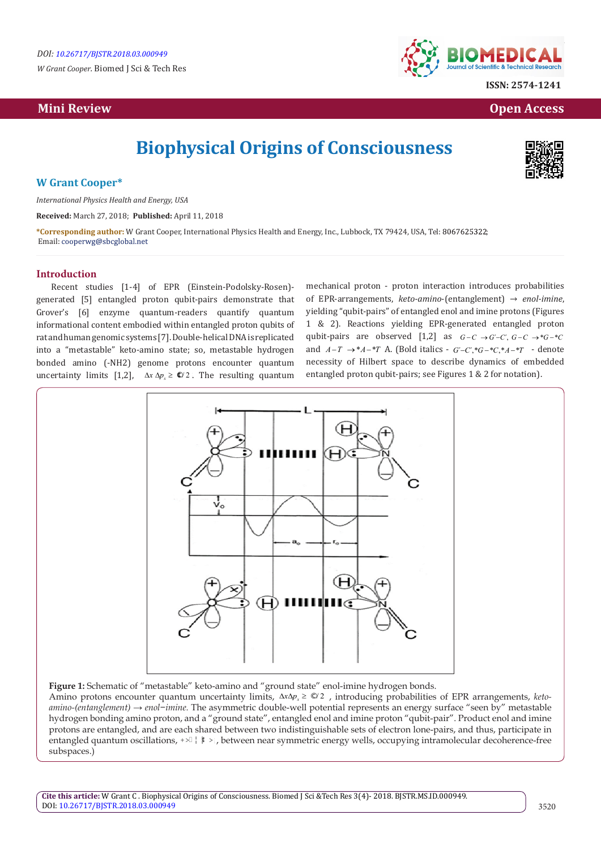*W Grant Cooper.* Biomed J Sci & Tech Res

# **Mini Review Open Access**



**ISSN: 2574-1241**

# **Biophysical Origins of Consciousness**



# **W Grant Cooper\***

*International Physics Health and Energy, USA*

**Received:** March 27, 2018; **Published:** April 11, 2018

**\*Corresponding author:** W Grant Cooper, International Physics Health and Energy, Inc., Lubbock, TX 79424, USA, Tel: ; Email: cooperwg@sbcglobal.net

## **Introduction**

Recent studies [1-4] of EPR (Einstein-Podolsky-Rosen) generated [5] entangled proton qubit-pairs demonstrate that Grover's [6] enzyme quantum-readers quantify quantum informational content embodied within entangled proton qubits of rat and human genomic systems [7]. Double-helical DNA is replicated into a "metastable" keto-amino state; so, metastable hydrogen bonded amino (-NH2) genome protons encounter quantum uncertainty limits [1,2],  $\Delta x \Delta p_x \geq \mathbb{C}/2$ . The resulting quantum

mechanical proton - proton interaction introduces probabilities of EPR-arrangements, *keto-amino*-(entanglement) → *enol-imine*, yielding "qubit-pairs" of entangled enol and imine protons (Figures 1 & 2). Reactions yielding EPR-generated entangled proton qubit-pairs are observed [1,2] as  $G-C \rightarrow G-C$ ,  $G-C \rightarrow *G-*C$ and  $A-T \rightarrow *A-*T$  A. (Bold italics -  $G'-C$ <sup>\*</sup>,\* $G-*C$ <sup>\*</sup>,\* $A-*T$  - denote necessity of Hilbert space to describe dynamics of embedded entangled proton qubit-pairs; see Figures 1 & 2 for notation).



**Figure 1:** Schematic of "metastable" keto-amino and "ground state" enol-imine hydrogen bonds.

Amino protons encounter quantum uncertainty limits,  $\Delta x \Delta p_x \geq \mathcal{Q}$  , introducing probabilities of EPR arrangements, *ketoamino-(entanglement) → enol−imine.* The asymmetric double-well potential represents an energy surface "seen by" metastable hydrogen bonding amino proton, and a "ground state", entangled enol and imine proton "qubit-pair". Product enol and imine protons are entangled, and are each shared between two indistinguishable sets of electron lone-pairs, and thus, participate in entangled quantum oscillations,  $+\infty$   $\downarrow$   $\dagger$  >, between near symmetric energy wells, occupying intramolecular decoherence-free subspaces.)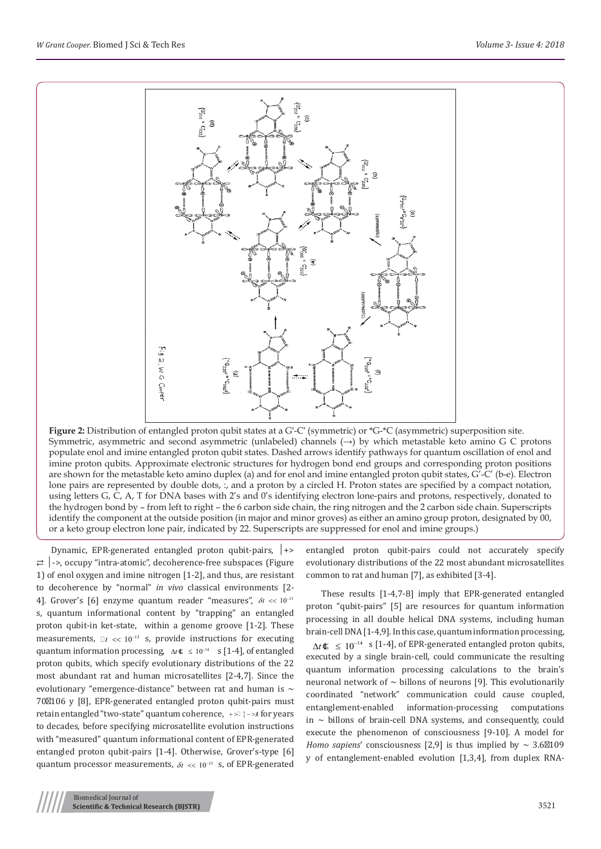

**Figure 2:** Distribution of entangled proton qubit states at a G′-C′ (symmetric) or \*G-\*C (asymmetric) superposition site. Symmetric, asymmetric and second asymmetric (unlabeled) channels (→) by which metastable keto amino G C protons populate enol and imine entangled proton qubit states. Dashed arrows identify pathways for quantum oscillation of enol and imine proton qubits. Approximate electronic structures for hydrogen bond end groups and corresponding proton positions are shown for the metastable keto amino duplex (a) and for enol and imine entangled proton qubit states, G'-C' (b-e). Electron lone pairs are represented by double dots, :, and a proton by a circled H. Proton states are specified by a compact notation, using letters G, C, A, T for DNA bases with 2's and 0's identifying electron lone-pairs and protons, respectively, donated to the hydrogen bond by – from left to right – the 6 carbon side chain, the ring nitrogen and the 2 carbon side chain. Superscripts identify the component at the outside position (in major and minor groves) as either an amino group proton, designated by 00, or a keto group electron lone pair, indicated by 22. Superscripts are suppressed for enol and imine groups.)

Dynamic, EPR-generated entangled proton qubit-pairs, │+> ⇄ │->, occupy "intra-atomic", decoherence-free subspaces (Figure 1) of enol oxygen and imine nitrogen [1-2], and thus, are resistant to decoherence by "normal" *in vivo* classical environments [2- 4]. Grover's [6] enzyme quantum reader "measures",  $\delta t \ll 10^{-13}$ s, quantum informational content by "trapping" an entangled proton qubit-in ket-state, within a genome groove [1-2]. These measurements,  $\mathbb{I}t \ll 10^{-13}$  s, provide instructions for executing quantum information processing,  $\Delta t$  ≰ ≤ 10<sup>-14</sup> s [1-4], of entangled proton qubits, which specify evolutionary distributions of the 22 most abundant rat and human microsatellites [2-4,7]. Since the evolutionary "emergence-distance" between rat and human is  $\sim$ 70 106 y [8], EPR-generated entangled proton qubit-pairs must retain entangled "two-state" quantum coherence, +> + + − >  $\mu$  for years to decades, before specifying microsatellite evolution instructions with "measured" quantum informational content of EPR-generated entangled proton qubit-pairs [1-4]. Otherwise, Grover's-type [6] quantum processor measurements,  $\delta t \ll 10^{-13}$  s, of EPR-generated

Biomedical Journal of

entangled proton qubit-pairs could not accurately specify evolutionary distributions of the 22 most abundant microsatellites common to rat and human [7], as exhibited [3-4].

These results [1-4,7-8] imply that EPR-generated entangled proton "qubit-pairs" [5] are resources for quantum information processing in all double helical DNA systems, including human brain-cell DNA [1-4,9]. In this case, quantum information processing,  $\Delta t$  ≤ 10<sup>-14</sup> s [1-4], of EPR-generated entangled proton qubits, executed by a single brain-cell, could communicate the resulting quantum information processing calculations to the brain's neuronal network of  $\sim$  billons of neurons [9]. This evolutionarily coordinated "network" communication could cause coupled, entanglement-enabled information-processing computations in  $\sim$  billons of brain-cell DNA systems, and consequently, could execute the phenomenon of consciousness [9-10]. A model for *Homo sapiens'* consciousness [2,9] is thus implied by  $\sim 3.6$  109 y of entanglement-enabled evolution [1,3,4], from duplex RNA-